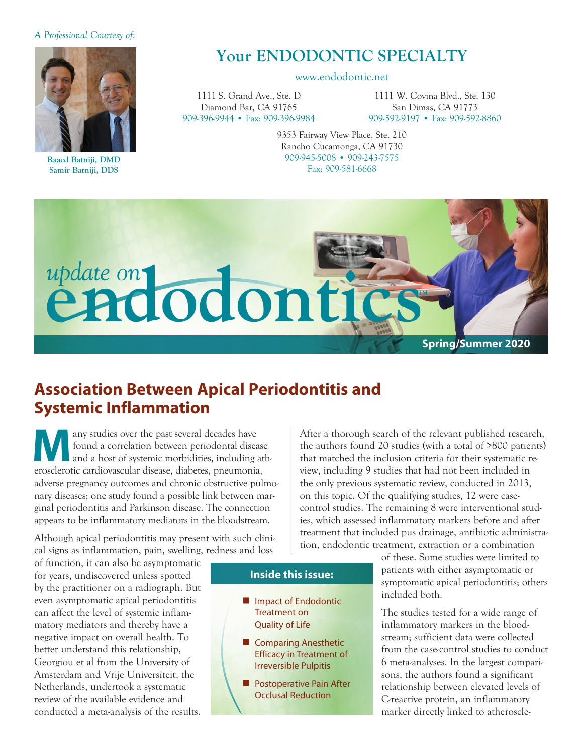#### *A Professional Courtesy of:*



**Raaed Batniji, DMD Samir Batniji, DDS**

# **Your ENDODONTIC SPECIALTY**

#### www.endodontic.net

1111 S. Grand Ave., Ste. D Diamond Bar, CA 91765 909-396-9944 • Fax: 909-396-9984

1111 W. Covina Blvd., Ste. 130 San Dimas, CA 91773 909-592-9197 • Fax: 909-592-8860

9353 Fairway View Place, Ste. 210 Rancho Cucamonga, CA 91730 909-945-5008 • 909-243-7575 Fax: 909-581-6668



## **Association Between Apical Periodontitis and Systemic Inflammation**

**Many studies over the past several decades have**<br>found a correlation between periodontal disea<br>and a host of systemic morbidities, including a<br>propertie exclinations disease dishates, proumonis found a correlation between periodontal disease and a host of systemic morbidities, including atherosclerotic cardiovascular disease, diabetes, pneumonia, adverse pregnancy outcomes and chronic obstructive pulmonary diseases; one study found a possible link between marginal periodontitis and Parkinson disease. The connection appears to be inflammatory mediators in the bloodstream.

Although apical periodontitis may present with such clinical signs as inflammation, pain, swelling, redness and loss

of function, it can also be asymptomatic for years, undiscovered unless spotted by the practitioner on a radiograph. But even asymptomatic apical periodontitis can affect the level of systemic inflammatory mediators and thereby have a negative impact on overall health. To better understand this relationship, Georgiou et al from the University of Amsterdam and Vrije Universiteit, the Netherlands, undertook a systematic review of the available evidence and conducted a meta-analysis of the results.

the authors found 20 studies (with a total of >800 patients) that matched the inclusion criteria for their systematic review, including 9 studies that had not been included in the only previous systematic review, conducted in 2013, on this topic. Of the qualifying studies, 12 were casecontrol studies. The remaining 8 were interventional studies, which assessed inflammatory markers before and after treatment that included pus drainage, antibiotic administration, endodontic treatment, extraction or a combination

After a thorough search of the relevant published research,

of these. Some studies were limited to patients with either asymptomatic or symptomatic apical periodontitis; others included both.

The studies tested for a wide range of inflammatory markers in the bloodstream; sufficient data were collected from the case-control studies to conduct 6 meta-analyses. In the largest comparisons, the authors found a significant relationship between elevated levels of C-reactive protein, an inflammatory marker directly linked to atheroscle-

### **Inside this issue:**

- **n** Impact of Endodontic Treatment on Quality of Life
- **n** Comparing Anesthetic Efficacy in Treatment of Irreversible Pulpitis
- **n** Postoperative Pain After Occlusal Reduction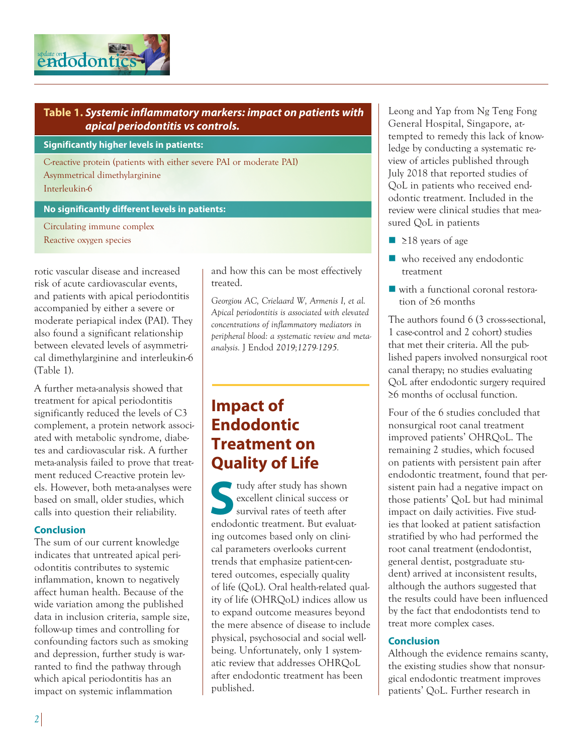

## **Table 1.** *Systemic inflammatory markers: impact on patients with apical periodontitis vs controls.*

**Significantly higher levels in patients:**

C-reactive protein (patients with either severe PAI or moderate PAI) Asymmetrical dimethylarginine Interleukin-6

#### **No significantly different levels in patients:**

Circulating immune complex Reactive oxygen species

rotic vascular disease and increased risk of acute cardiovascular events, and patients with apical periodontitis accompanied by either a severe or moderate periapical index (PAI). They also found a significant relationship between elevated levels of asymmetrical dimethylarginine and interleukin-6 (Table 1).

A further meta-analysis showed that treatment for apical periodontitis significantly reduced the levels of C3 complement, a protein network associated with metabolic syndrome, diabetes and cardiovascular risk. A further meta-analysis failed to prove that treatment reduced C-reactive protein levels. However, both meta-analyses were based on small, older studies, which calls into question their reliability.

### **Conclusion**

The sum of our current knowledge indicates that untreated apical periodontitis contributes to systemic inflammation, known to negatively affect human health. Because of the wide variation among the published data in inclusion criteria, sample size, follow-up times and controlling for confounding factors such as smoking and depression, further study is warranted to find the pathway through which apical periodontitis has an impact on systemic inflammation

and how this can be most effectively treated.

*Georgiou AC, Crielaard W, Armenis I, et al. Apical periodontitis is associated with elevated concentrations of inflammatory mediators in peripheral blood: a systematic review and metaanalysis.* J Endod *2019;1279-1295.*

# **Impact of Endodontic Treatment on Quality of Life**

**I** tudy after study has shown excellent clinical success or survival rates of teeth after endodontic treatment. But evaluating outcomes based only on clinical parameters overlooks current trends that emphasize patient-centered outcomes, especially quality of life (QoL). Oral health-related quality of life (OHRQoL) indices allow us to expand outcome measures beyond the mere absence of disease to include physical, psychosocial and social wellbeing. Unfortunately, only 1 systematic review that addresses OHRQoL after endodontic treatment has been published.

Leong and Yap from Ng Teng Fong General Hospital, Singapore, at tempted to remedy this lack of knowledge by conducting a systematic review of articles published through July 2018 that reported studies of QoL in patients who received endodontic treatment. Included in the review were clinical studies that measured QoL in patients

- $\blacksquare$  ≥18 years of age
- $\blacksquare$  who received any endodontic treatment
- $\blacksquare$  with a functional coronal restoration of ≥6 months

The authors found 6 (3 cross-sectional, 1 case-control and 2 cohort) studies that met their criteria. All the published papers involved nonsurgical root canal therapy; no studies evaluating QoL after endodontic surgery required ≥6 months of occlusal function.

Four of the 6 studies concluded that nonsurgical root canal treatment improved patients' OHRQoL. The remaining 2 studies, which focused on patients with persistent pain after endodontic treatment, found that persistent pain had a negative impact on those patients' QoL but had minimal impact on daily activities. Five studies that looked at patient satisfaction stratified by who had performed the root canal treatment (endodontist, general dentist, postgraduate student) arrived at inconsistent results, although the authors suggested that the results could have been influenced by the fact that endodontists tend to treat more complex cases.

### **Conclusion**

Although the evidence remains scanty, the existing studies show that nonsurgical endodontic treatment improves patients' QoL. Further research in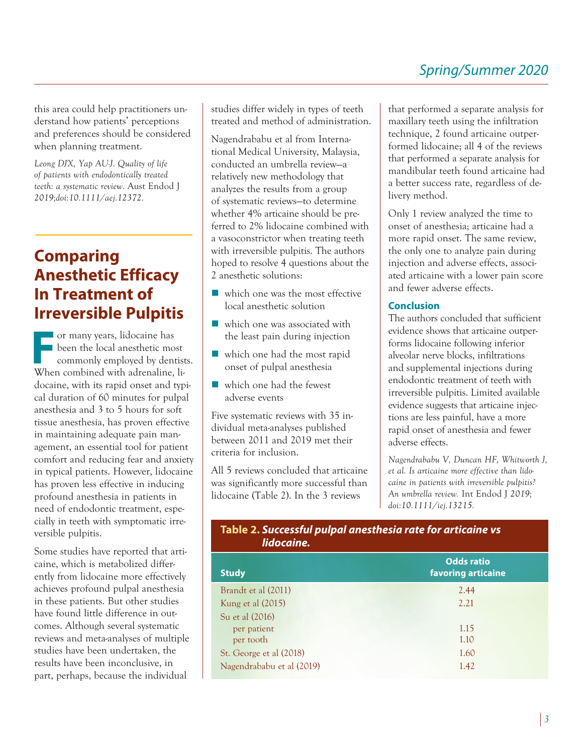this area could help practitioners understand how patients' perceptions and preferences should be considered when planning treatment.

*Leong DJX, Yap AU-J. Quality of life of patients with endodontically treated teeth: a systematic review.* Aust Endod J *2019;doi:10.1111/aej.12372.*

# **Comparing Anesthetic Efficacy In Treatment of Irreversible Pulpitis**

For many years, lidocaine has<br>been the local anesthetic momentum<br>commonly employed by dent<br>When combined with edgensine been the local anesthetic most commonly employed by dentists. When combined with adrenaline, lidocaine, with its rapid onset and typical duration of 60 minutes for pulpal anesthesia and 3 to 5 hours for soft tissue anesthesia, has proven effective in maintaining adequate pain management, an essential tool for patient comfort and reducing fear and anxiety in typical patients. However, lidocaine has proven less effective in inducing profound anesthesia in patients in need of endodontic treatment, especially in teeth with symptomatic irreversible pulpitis.

Some studies have reported that articaine, which is metabolized differently from lidocaine more effectively achieves profound pulpal anesthesia in these patients. But other studies have found little difference in outcomes. Although several systematic reviews and meta-analyses of multiple studies have been undertaken, the results have been inconclusive, in part, perhaps, because the individual

studies differ widely in types of teeth treated and method of administration.

Nagendrababu et al from International Medical University, Malaysia, conducted an umbrella review—a relatively new methodology that analyzes the results from a group of systematic reviews—to determine whether 4% articaine should be preferred to 2% lidocaine combined with a vasoconstrictor when treating teeth with irreversible pulpitis. The authors hoped to resolve 4 questions about the 2 anesthetic solutions:

- which one was the most effective local anesthetic solution
- $\blacksquare$  which one was associated with the least pain during injection
- $\blacksquare$  which one had the most rapid onset of pulpal anesthesia
- $\blacksquare$  which one had the fewest adverse events

Five systematic reviews with 35 individual meta-analyses published between 2011 and 2019 met their criteria for inclusion.

All 5 reviews concluded that articaine was significantly more successful than lidocaine (Table 2). In the 3 reviews

that performed a separate analysis for maxillary teeth using the infiltration technique, 2 found articaine outperformed lidocaine; all 4 of the reviews that performed a separate analysis for mandibular teeth found articaine had a better success rate, regardless of delivery method.

Only 1 review analyzed the time to onset of anesthesia; articaine had a more rapid onset. The same review, the only one to analyze pain during injection and adverse effects, associated articaine with a lower pain score and fewer adverse effects.

### **Conclusion**

The authors concluded that sufficient evidence shows that articaine outperforms lidocaine following inferior alveolar nerve blocks, infiltrations and supplemental injections during endodontic treatment of teeth with irreversible pulpitis. Limited available evidence suggests that articaine injections are less painful, have a more rapid onset of anesthesia and fewer adverse effects.

*Nagendrababu V, Duncan HF, Whitworth J, et al. Is articaine more effective than lidocaine in patients with irreversible pulpitis? An umbrella review.* Int Endod J *2019; doi:10.1111/iej.13215.*

## **Table 2.** *Successful pulpal anesthesia rate for articaine vs lidocaine.*

| <b>Study</b>              | <b>Odds ratio</b><br>favoring articaine |
|---------------------------|-----------------------------------------|
| Brandt et al (2011)       | 2.44                                    |
| Kung et al (2015)         | 2.21                                    |
| Su et al (2016)           |                                         |
| per patient               | 1.15                                    |
| per tooth                 | 1.10                                    |
| St. George et al (2018)   | 1.60                                    |
| Nagendrababu et al (2019) | 1.42                                    |